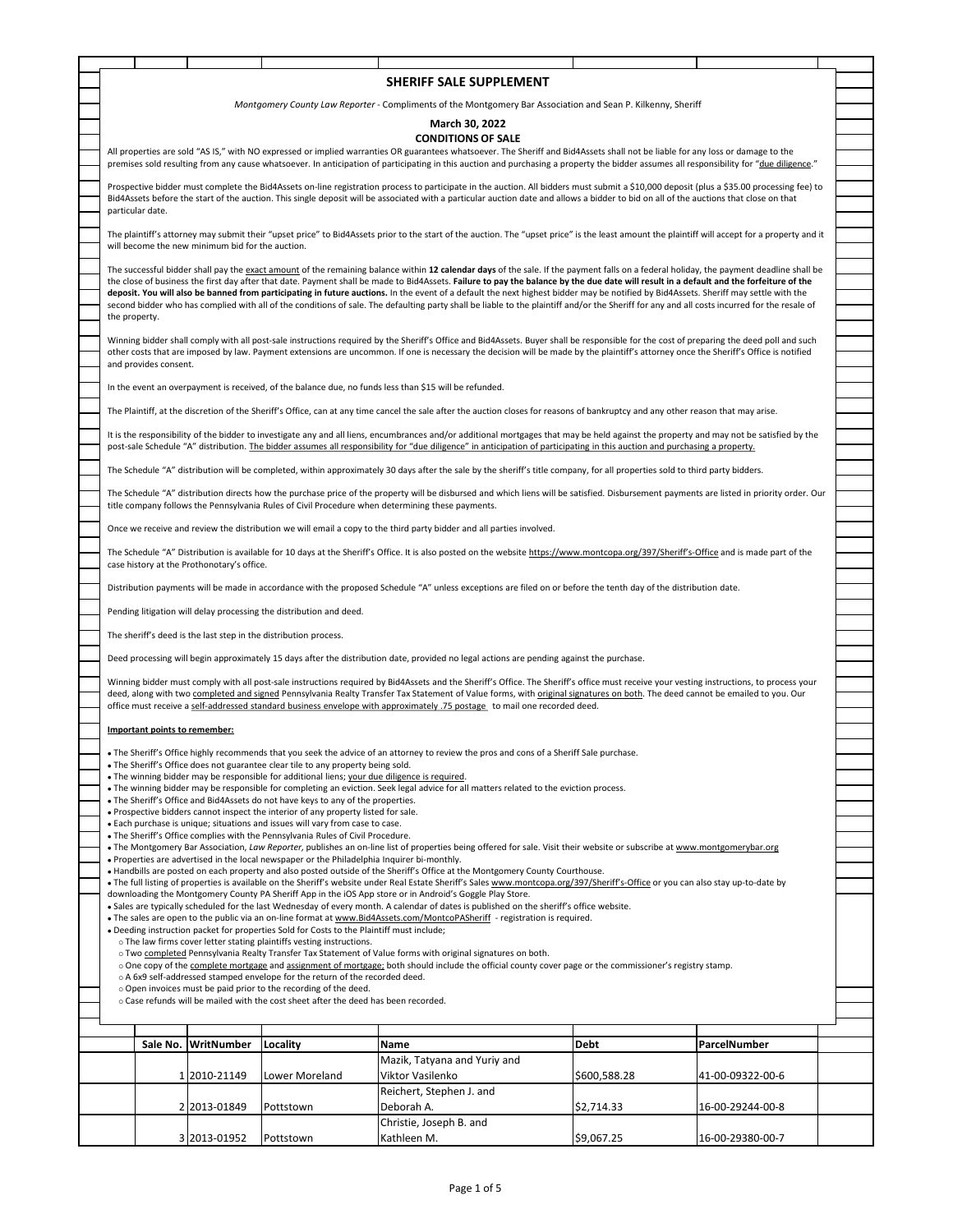|                                                                                                                                                                                                                                                                                                                                                                             |                               |                                                  |                                                                                                                                                                     | SHERIFF SALE SUPPLEMENT                                                                                                                                                                                                                                                                                                                                                              |              |                  |  |  |  |
|-----------------------------------------------------------------------------------------------------------------------------------------------------------------------------------------------------------------------------------------------------------------------------------------------------------------------------------------------------------------------------|-------------------------------|--------------------------------------------------|---------------------------------------------------------------------------------------------------------------------------------------------------------------------|--------------------------------------------------------------------------------------------------------------------------------------------------------------------------------------------------------------------------------------------------------------------------------------------------------------------------------------------------------------------------------------|--------------|------------------|--|--|--|
| Montgomery County Law Reporter - Compliments of the Montgomery Bar Association and Sean P. Kilkenny, Sheriff                                                                                                                                                                                                                                                                |                               |                                                  |                                                                                                                                                                     |                                                                                                                                                                                                                                                                                                                                                                                      |              |                  |  |  |  |
|                                                                                                                                                                                                                                                                                                                                                                             | March 30, 2022                |                                                  |                                                                                                                                                                     |                                                                                                                                                                                                                                                                                                                                                                                      |              |                  |  |  |  |
|                                                                                                                                                                                                                                                                                                                                                                             |                               |                                                  |                                                                                                                                                                     | <b>CONDITIONS OF SALE</b>                                                                                                                                                                                                                                                                                                                                                            |              |                  |  |  |  |
| All properties are sold "AS IS," with NO expressed or implied warranties OR guarantees whatsoever. The Sheriff and Bid4Assets shall not be liable for any loss or damage to the<br>premises sold resulting from any cause whatsoever. In anticipation of participating in this auction and purchasing a property the bidder assumes all responsibility for "due diligence." |                               |                                                  |                                                                                                                                                                     |                                                                                                                                                                                                                                                                                                                                                                                      |              |                  |  |  |  |
|                                                                                                                                                                                                                                                                                                                                                                             |                               |                                                  |                                                                                                                                                                     | Prospective bidder must complete the Bid4Assets on-line registration process to participate in the auction. All bidders must submit a \$10,000 deposit (plus a \$35.00 processing fee) to                                                                                                                                                                                            |              |                  |  |  |  |
|                                                                                                                                                                                                                                                                                                                                                                             |                               |                                                  |                                                                                                                                                                     | Bid4Assets before the start of the auction. This single deposit will be associated with a particular auction date and allows a bidder to bid on all of the auctions that close on that                                                                                                                                                                                               |              |                  |  |  |  |
|                                                                                                                                                                                                                                                                                                                                                                             | particular date.              |                                                  |                                                                                                                                                                     |                                                                                                                                                                                                                                                                                                                                                                                      |              |                  |  |  |  |
|                                                                                                                                                                                                                                                                                                                                                                             |                               | will become the new minimum bid for the auction. |                                                                                                                                                                     | The plaintiff's attorney may submit their "upset price" to Bid4Assets prior to the start of the auction. The "upset price" is the least amount the plaintiff will accept for a property and it                                                                                                                                                                                       |              |                  |  |  |  |
| The successful bidder shall pay the exact amount of the remaining balance within 12 calendar days of the sale. If the payment falls on a federal holiday, the payment deadline shall be                                                                                                                                                                                     |                               |                                                  |                                                                                                                                                                     |                                                                                                                                                                                                                                                                                                                                                                                      |              |                  |  |  |  |
|                                                                                                                                                                                                                                                                                                                                                                             |                               |                                                  |                                                                                                                                                                     | the close of business the first day after that date. Payment shall be made to Bid4Assets. Failure to pay the balance by the due date will result in a default and the forfeiture of the                                                                                                                                                                                              |              |                  |  |  |  |
|                                                                                                                                                                                                                                                                                                                                                                             |                               |                                                  |                                                                                                                                                                     | deposit. You will also be banned from participating in future auctions. In the event of a default the next highest bidder may be notified by Bid4Assets. Sheriff may settle with the<br>second bidder who has complied with all of the conditions of sale. The defaulting party shall be liable to the plaintiff and/or the Sheriff for any and all costs incurred for the resale of |              |                  |  |  |  |
| the property.                                                                                                                                                                                                                                                                                                                                                               |                               |                                                  |                                                                                                                                                                     |                                                                                                                                                                                                                                                                                                                                                                                      |              |                  |  |  |  |
| Winning bidder shall comply with all post-sale instructions required by the Sheriff's Office and Bid4Assets. Buyer shall be responsible for the cost of preparing the deed poll and such                                                                                                                                                                                    |                               |                                                  |                                                                                                                                                                     |                                                                                                                                                                                                                                                                                                                                                                                      |              |                  |  |  |  |
|                                                                                                                                                                                                                                                                                                                                                                             | and provides consent.         |                                                  |                                                                                                                                                                     | other costs that are imposed by law. Payment extensions are uncommon. If one is necessary the decision will be made by the plaintiff's attorney once the Sheriff's Office is notified                                                                                                                                                                                                |              |                  |  |  |  |
|                                                                                                                                                                                                                                                                                                                                                                             |                               |                                                  |                                                                                                                                                                     | In the event an overpayment is received, of the balance due, no funds less than \$15 will be refunded.                                                                                                                                                                                                                                                                               |              |                  |  |  |  |
|                                                                                                                                                                                                                                                                                                                                                                             |                               |                                                  |                                                                                                                                                                     |                                                                                                                                                                                                                                                                                                                                                                                      |              |                  |  |  |  |
|                                                                                                                                                                                                                                                                                                                                                                             |                               |                                                  |                                                                                                                                                                     | The Plaintiff, at the discretion of the Sheriff's Office, can at any time cancel the sale after the auction closes for reasons of bankruptcy and any other reason that may arise.                                                                                                                                                                                                    |              |                  |  |  |  |
|                                                                                                                                                                                                                                                                                                                                                                             |                               |                                                  |                                                                                                                                                                     | It is the responsibility of the bidder to investigate any and all liens, encumbrances and/or additional mortgages that may be held against the property and may not be satisfied by the<br>post-sale Schedule "A" distribution. The bidder assumes all responsibility for "due diligence" in anticipation of participating in this auction and purchasing a property.                |              |                  |  |  |  |
|                                                                                                                                                                                                                                                                                                                                                                             |                               |                                                  |                                                                                                                                                                     |                                                                                                                                                                                                                                                                                                                                                                                      |              |                  |  |  |  |
|                                                                                                                                                                                                                                                                                                                                                                             |                               |                                                  |                                                                                                                                                                     | The Schedule "A" distribution will be completed, within approximately 30 days after the sale by the sheriff's title company, for all properties sold to third party bidders.                                                                                                                                                                                                         |              |                  |  |  |  |
|                                                                                                                                                                                                                                                                                                                                                                             |                               |                                                  |                                                                                                                                                                     | The Schedule "A" distribution directs how the purchase price of the property will be disbursed and which liens will be satisfied. Disbursement payments are listed in priority order. Our<br>title company follows the Pennsylvania Rules of Civil Procedure when determining these payments.                                                                                        |              |                  |  |  |  |
|                                                                                                                                                                                                                                                                                                                                                                             |                               |                                                  |                                                                                                                                                                     |                                                                                                                                                                                                                                                                                                                                                                                      |              |                  |  |  |  |
|                                                                                                                                                                                                                                                                                                                                                                             |                               |                                                  |                                                                                                                                                                     | Once we receive and review the distribution we will email a copy to the third party bidder and all parties involved.                                                                                                                                                                                                                                                                 |              |                  |  |  |  |
|                                                                                                                                                                                                                                                                                                                                                                             |                               | case history at the Prothonotary's office.       |                                                                                                                                                                     | The Schedule "A" Distribution is available for 10 days at the Sheriff's Office. It is also posted on the website https://www.montcopa.org/397/Sheriff's-Office and is made part of the                                                                                                                                                                                               |              |                  |  |  |  |
|                                                                                                                                                                                                                                                                                                                                                                             |                               |                                                  |                                                                                                                                                                     |                                                                                                                                                                                                                                                                                                                                                                                      |              |                  |  |  |  |
|                                                                                                                                                                                                                                                                                                                                                                             |                               |                                                  |                                                                                                                                                                     | Distribution payments will be made in accordance with the proposed Schedule "A" unless exceptions are filed on or before the tenth day of the distribution date.                                                                                                                                                                                                                     |              |                  |  |  |  |
|                                                                                                                                                                                                                                                                                                                                                                             |                               |                                                  | Pending litigation will delay processing the distribution and deed.                                                                                                 |                                                                                                                                                                                                                                                                                                                                                                                      |              |                  |  |  |  |
| The sheriff's deed is the last step in the distribution process.                                                                                                                                                                                                                                                                                                            |                               |                                                  |                                                                                                                                                                     |                                                                                                                                                                                                                                                                                                                                                                                      |              |                  |  |  |  |
| Deed processing will begin approximately 15 days after the distribution date, provided no legal actions are pending against the purchase.                                                                                                                                                                                                                                   |                               |                                                  |                                                                                                                                                                     |                                                                                                                                                                                                                                                                                                                                                                                      |              |                  |  |  |  |
| Winning bidder must comply with all post-sale instructions required by Bid4Assets and the Sheriff's Office. The Sheriff's office must receive your vesting instructions, to process your                                                                                                                                                                                    |                               |                                                  |                                                                                                                                                                     |                                                                                                                                                                                                                                                                                                                                                                                      |              |                  |  |  |  |
|                                                                                                                                                                                                                                                                                                                                                                             |                               |                                                  |                                                                                                                                                                     | deed, along with two completed and signed Pennsylvania Realty Transfer Tax Statement of Value forms, with original signatures on both. The deed cannot be emailed to you. Our<br>office must receive a self-addressed standard business envelope with approximately .75 postage to mail one recorded deed.                                                                           |              |                  |  |  |  |
|                                                                                                                                                                                                                                                                                                                                                                             |                               |                                                  |                                                                                                                                                                     |                                                                                                                                                                                                                                                                                                                                                                                      |              |                  |  |  |  |
|                                                                                                                                                                                                                                                                                                                                                                             | Important points to remember: |                                                  |                                                                                                                                                                     |                                                                                                                                                                                                                                                                                                                                                                                      |              |                  |  |  |  |
|                                                                                                                                                                                                                                                                                                                                                                             |                               |                                                  | . The Sheriff's Office does not guarantee clear tile to any property being sold.                                                                                    | • The Sheriff's Office highly recommends that you seek the advice of an attorney to review the pros and cons of a Sheriff Sale purchase                                                                                                                                                                                                                                              |              |                  |  |  |  |
|                                                                                                                                                                                                                                                                                                                                                                             |                               |                                                  | • The winning bidder may be responsible for additional liens; your due diligence is required.                                                                       |                                                                                                                                                                                                                                                                                                                                                                                      |              |                  |  |  |  |
|                                                                                                                                                                                                                                                                                                                                                                             |                               |                                                  | . The Sheriff's Office and Bid4Assets do not have keys to any of the properties.                                                                                    | • The winning bidder may be responsible for completing an eviction. Seek legal advice for all matters related to the eviction process.                                                                                                                                                                                                                                               |              |                  |  |  |  |
|                                                                                                                                                                                                                                                                                                                                                                             |                               |                                                  | . Prospective bidders cannot inspect the interior of any property listed for sale.<br>. Each purchase is unique; situations and issues will vary from case to case. |                                                                                                                                                                                                                                                                                                                                                                                      |              |                  |  |  |  |
|                                                                                                                                                                                                                                                                                                                                                                             |                               |                                                  | . The Sheriff's Office complies with the Pennsylvania Rules of Civil Procedure.                                                                                     |                                                                                                                                                                                                                                                                                                                                                                                      |              |                  |  |  |  |
|                                                                                                                                                                                                                                                                                                                                                                             |                               |                                                  | . Properties are advertised in the local newspaper or the Philadelphia Inquirer bi-monthly.                                                                         | . The Montgomery Bar Association, Law Reporter, publishes an on-line list of properties being offered for sale. Visit their website or subscribe at www.montgomerybar.org                                                                                                                                                                                                            |              |                  |  |  |  |
|                                                                                                                                                                                                                                                                                                                                                                             |                               |                                                  |                                                                                                                                                                     | • Handbills are posted on each property and also posted outside of the Sheriff's Office at the Montgomery County Courthouse.<br>. The full listing of properties is available on the Sheriff's website under Real Estate Sheriff's Sales www.montcopa.org/397/Sheriff's-Office or you can also stay up-to-date by                                                                    |              |                  |  |  |  |
|                                                                                                                                                                                                                                                                                                                                                                             |                               |                                                  |                                                                                                                                                                     | downloading the Montgomery County PA Sheriff App in the iOS App store or in Android's Goggle Play Store.                                                                                                                                                                                                                                                                             |              |                  |  |  |  |
|                                                                                                                                                                                                                                                                                                                                                                             |                               |                                                  |                                                                                                                                                                     | . Sales are typically scheduled for the last Wednesday of every month. A calendar of dates is published on the sheriff's office website.<br>• The sales are open to the public via an on-line format at www.Bid4Assets.com/MontcoPASheriff - registration is required.                                                                                                               |              |                  |  |  |  |
|                                                                                                                                                                                                                                                                                                                                                                             |                               |                                                  | . Deeding instruction packet for properties Sold for Costs to the Plaintiff must include;<br>o The law firms cover letter stating plaintiffs vesting instructions.  |                                                                                                                                                                                                                                                                                                                                                                                      |              |                  |  |  |  |
|                                                                                                                                                                                                                                                                                                                                                                             |                               |                                                  |                                                                                                                                                                     | o Two completed Pennsylvania Realty Transfer Tax Statement of Value forms with original signatures on both.                                                                                                                                                                                                                                                                          |              |                  |  |  |  |
| o One copy of the complete mortgage and assignment of mortgage; both should include the official county cover page or the commissioner's registry stamp.<br>o A 6x9 self-addressed stamped envelope for the return of the recorded deed.                                                                                                                                    |                               |                                                  |                                                                                                                                                                     |                                                                                                                                                                                                                                                                                                                                                                                      |              |                  |  |  |  |
| o Open invoices must be paid prior to the recording of the deed.<br>o Case refunds will be mailed with the cost sheet after the deed has been recorded.                                                                                                                                                                                                                     |                               |                                                  |                                                                                                                                                                     |                                                                                                                                                                                                                                                                                                                                                                                      |              |                  |  |  |  |
|                                                                                                                                                                                                                                                                                                                                                                             |                               |                                                  |                                                                                                                                                                     |                                                                                                                                                                                                                                                                                                                                                                                      |              |                  |  |  |  |
|                                                                                                                                                                                                                                                                                                                                                                             | Sale No.                      | WritNumber                                       | Locality                                                                                                                                                            | Name                                                                                                                                                                                                                                                                                                                                                                                 | Debt         | ParcelNumber     |  |  |  |
|                                                                                                                                                                                                                                                                                                                                                                             |                               |                                                  |                                                                                                                                                                     | Mazik, Tatyana and Yuriy and                                                                                                                                                                                                                                                                                                                                                         |              |                  |  |  |  |
|                                                                                                                                                                                                                                                                                                                                                                             |                               | 1 2010-21149                                     | Lower Moreland                                                                                                                                                      | Viktor Vasilenko                                                                                                                                                                                                                                                                                                                                                                     | \$600,588.28 | 41-00-09322-00-6 |  |  |  |
|                                                                                                                                                                                                                                                                                                                                                                             |                               |                                                  |                                                                                                                                                                     | Reichert, Stephen J. and                                                                                                                                                                                                                                                                                                                                                             |              |                  |  |  |  |
|                                                                                                                                                                                                                                                                                                                                                                             |                               | 2 2013-01849                                     | Pottstown                                                                                                                                                           | Deborah A.<br>Christie, Joseph B. and                                                                                                                                                                                                                                                                                                                                                | \$2,714.33   | 16-00-29244-00-8 |  |  |  |
|                                                                                                                                                                                                                                                                                                                                                                             |                               | 3 2013-01952                                     | Pottstown                                                                                                                                                           | Kathleen M.                                                                                                                                                                                                                                                                                                                                                                          | \$9,067.25   | 16-00-29380-00-7 |  |  |  |
|                                                                                                                                                                                                                                                                                                                                                                             |                               |                                                  |                                                                                                                                                                     |                                                                                                                                                                                                                                                                                                                                                                                      |              |                  |  |  |  |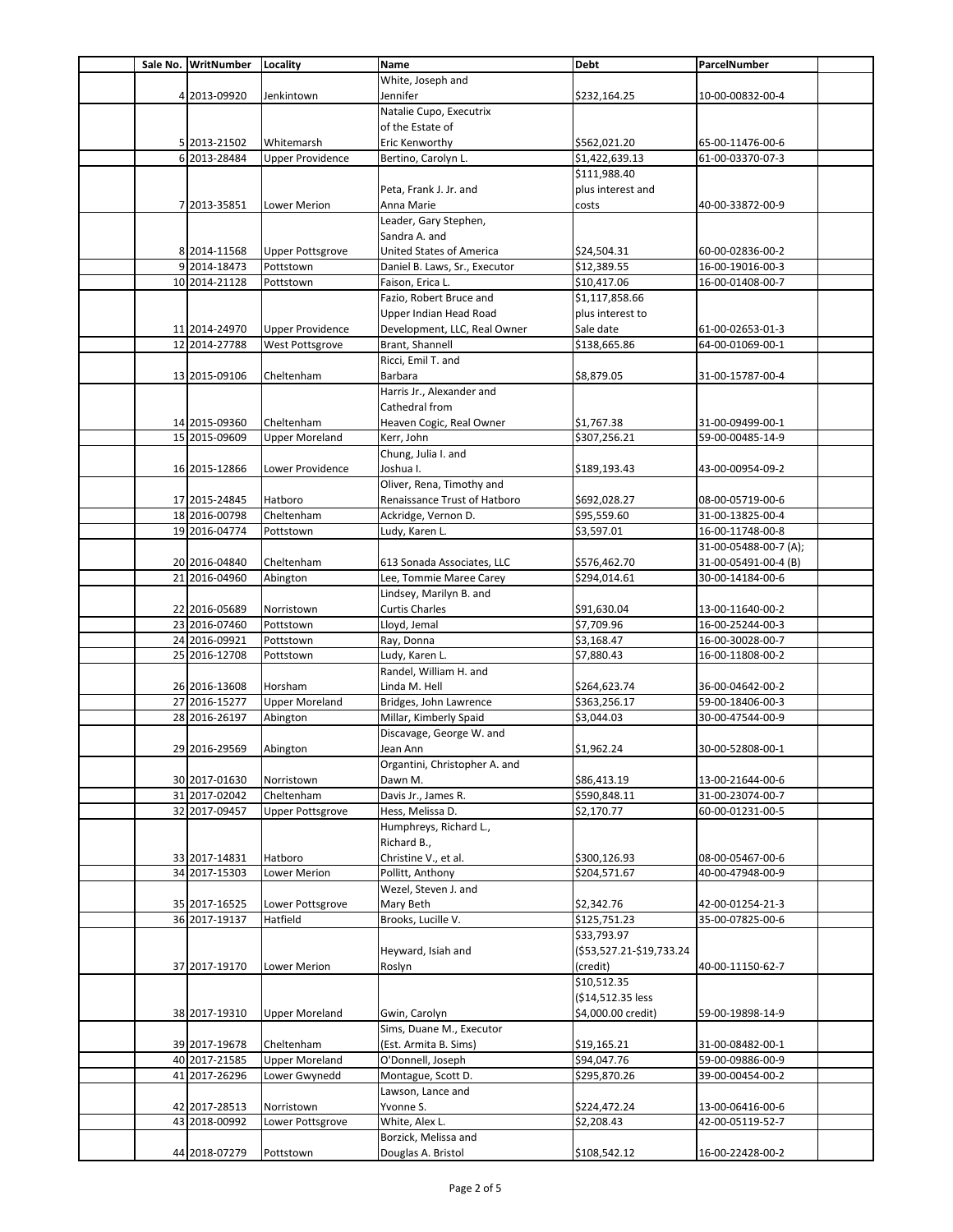|  | Sale No. WritNumber            | Locality                     | Name                            | <b>Debt</b>                | ParcelNumber                         |  |
|--|--------------------------------|------------------------------|---------------------------------|----------------------------|--------------------------------------|--|
|  |                                |                              | White, Joseph and               |                            |                                      |  |
|  | 4 2013-09920                   | Jenkintown                   | Jennifer                        | \$232,164.25               | 10-00-00832-00-4                     |  |
|  |                                |                              | Natalie Cupo, Executrix         |                            |                                      |  |
|  |                                |                              | of the Estate of                |                            |                                      |  |
|  | 5 2013-21502                   | Whitemarsh                   | Eric Kenworthy                  | \$562,021.20               | 65-00-11476-00-6                     |  |
|  | 6 2013-28484                   | <b>Upper Providence</b>      | Bertino, Carolyn L.             | \$1,422,639.13             | 61-00-03370-07-3                     |  |
|  |                                |                              |                                 | \$111,988.40               |                                      |  |
|  |                                |                              | Peta, Frank J. Jr. and          | plus interest and          |                                      |  |
|  | 7 2013-35851                   | Lower Merion                 | Anna Marie                      | costs                      | 40-00-33872-00-9                     |  |
|  |                                |                              | Leader, Gary Stephen,           |                            |                                      |  |
|  |                                |                              | Sandra A. and                   |                            |                                      |  |
|  | 8 2014-11568                   | <b>Upper Pottsgrove</b>      | United States of America        | \$24,504.31                | 60-00-02836-00-2                     |  |
|  | 9 2014-18473                   | Pottstown                    | Daniel B. Laws, Sr., Executor   | \$12,389.55                | 16-00-19016-00-3                     |  |
|  | 10 2014-21128                  | Pottstown                    | Faison, Erica L.                | \$10,417.06                | 16-00-01408-00-7                     |  |
|  |                                |                              | Fazio, Robert Bruce and         | \$1,117,858.66             |                                      |  |
|  |                                |                              | Upper Indian Head Road          | plus interest to           |                                      |  |
|  | 11 2014-24970                  | <b>Upper Providence</b>      | Development, LLC, Real Owner    | Sale date                  | 61-00-02653-01-3                     |  |
|  | 12 2014-27788                  | West Pottsgrove              | Brant, Shannell                 | \$138,665.86               | 64-00-01069-00-1                     |  |
|  |                                |                              | Ricci, Emil T. and              |                            |                                      |  |
|  | 13 2015-09106                  | Cheltenham                   | Barbara                         | \$8,879.05                 | 31-00-15787-00-4                     |  |
|  |                                |                              | Harris Jr., Alexander and       |                            |                                      |  |
|  |                                |                              | Cathedral from                  |                            |                                      |  |
|  |                                | Cheltenham                   | Heaven Cogic, Real Owner        | \$1,767.38                 |                                      |  |
|  | 14 2015-09360                  |                              |                                 |                            | 31-00-09499-00-1                     |  |
|  | 15 2015-09609                  | <b>Upper Moreland</b>        | Kerr, John                      | \$307,256.21               | 59-00-00485-14-9                     |  |
|  |                                |                              | Chung, Julia I. and             |                            |                                      |  |
|  | 16 2015-12866                  | Lower Providence             | Joshua I.                       | \$189,193.43               | 43-00-00954-09-2                     |  |
|  |                                |                              | Oliver, Rena, Timothy and       |                            |                                      |  |
|  | 17 2015-24845                  | Hatboro                      | Renaissance Trust of Hatboro    | \$692,028.27               | 08-00-05719-00-6                     |  |
|  | 18 2016-00798                  | Cheltenham                   | Ackridge, Vernon D.             | \$95,559.60                | 31-00-13825-00-4                     |  |
|  | 19 2016-04774                  | Pottstown                    | Ludy, Karen L.                  | \$3,597.01                 | 16-00-11748-00-8                     |  |
|  |                                |                              |                                 |                            | 31-00-05488-00-7 (A);                |  |
|  | 20 2016-04840                  | Cheltenham                   | 613 Sonada Associates, LLC      | \$576,462.70               | 31-00-05491-00-4 (B)                 |  |
|  | 21 2016-04960                  | Abington                     | Lee, Tommie Maree Carey         | \$294,014.61               | 30-00-14184-00-6                     |  |
|  |                                |                              | Lindsey, Marilyn B. and         |                            |                                      |  |
|  | 22 2016-05689                  | Norristown                   | <b>Curtis Charles</b>           | \$91,630.04                | 13-00-11640-00-2                     |  |
|  | 23 2016-07460                  | Pottstown                    | Lloyd, Jemal                    | \$7,709.96                 | 16-00-25244-00-3                     |  |
|  | 24 2016-09921                  | Pottstown                    | Ray, Donna                      | \$3,168.47                 | 16-00-30028-00-7                     |  |
|  | 25 2016-12708                  | Pottstown                    | Ludy, Karen L.                  | \$7,880.43                 | 16-00-11808-00-2                     |  |
|  |                                |                              | Randel, William H. and          |                            |                                      |  |
|  | 26 2016-13608                  | Horsham                      | Linda M. Hell                   | \$264,623.74               | 36-00-04642-00-2                     |  |
|  | 27 2016-15277                  | <b>Upper Moreland</b>        | Bridges, John Lawrence          | \$363,256.17               | 59-00-18406-00-3                     |  |
|  | 28 2016-26197                  | Abington                     | Millar, Kimberly Spaid          | \$3,044.03                 | 30-00-47544-00-9                     |  |
|  |                                |                              | Discavage, George W. and        |                            |                                      |  |
|  | 29 2016-29569                  | Abington                     | Jean Ann                        | \$1,962.24                 | 30-00-52808-00-1                     |  |
|  |                                |                              | Organtini, Christopher A. and   |                            |                                      |  |
|  | 30 2017-01630                  | Norristown                   | Dawn M.                         | \$86,413.19                | 13-00-21644-00-6                     |  |
|  | 31 2017-02042                  | Cheltenham                   | Davis Jr., James R.             | \$590,848.11               | 31-00-23074-00-7                     |  |
|  | 32 2017-09457                  | <b>Upper Pottsgrove</b>      | Hess, Melissa D.                | \$2,170.77                 | 60-00-01231-00-5                     |  |
|  |                                |                              | Humphreys, Richard L.,          |                            |                                      |  |
|  |                                |                              | Richard B.,                     |                            |                                      |  |
|  | 33 2017-14831                  | Hatboro                      | Christine V., et al.            | \$300,126.93               | 08-00-05467-00-6                     |  |
|  | 34 2017-15303                  | Lower Merion                 | Pollitt, Anthony                | \$204,571.67               | 40-00-47948-00-9                     |  |
|  |                                |                              | Wezel, Steven J. and            |                            |                                      |  |
|  |                                |                              |                                 |                            |                                      |  |
|  | 35 2017-16525<br>36 2017-19137 | Lower Pottsgrove<br>Hatfield | Mary Beth<br>Brooks, Lucille V. | \$2,342.76<br>\$125,751.23 | 42-00-01254-21-3<br>35-00-07825-00-6 |  |
|  |                                |                              |                                 |                            |                                      |  |
|  |                                |                              |                                 | \$33,793.97                |                                      |  |
|  |                                |                              | Heyward, Isiah and              | (\$53,527.21-\$19,733.24   |                                      |  |
|  | 37 2017-19170                  | Lower Merion                 | Roslyn                          | (credit)                   | 40-00-11150-62-7                     |  |
|  |                                |                              |                                 | \$10,512.35                |                                      |  |
|  |                                |                              |                                 | (\$14,512.35 less          |                                      |  |
|  | 38 2017-19310                  | <b>Upper Moreland</b>        | Gwin, Carolyn                   | \$4,000.00 credit)         | 59-00-19898-14-9                     |  |
|  |                                |                              | Sims, Duane M., Executor        |                            |                                      |  |
|  | 39 2017-19678                  | Cheltenham                   | (Est. Armita B. Sims)           | \$19,165.21                | 31-00-08482-00-1                     |  |
|  | 40 2017-21585                  | <b>Upper Moreland</b>        | O'Donnell, Joseph               | \$94,047.76                | 59-00-09886-00-9                     |  |
|  | 41 2017-26296                  | Lower Gwynedd                | Montague, Scott D.              | \$295,870.26               | 39-00-00454-00-2                     |  |
|  |                                |                              | Lawson, Lance and               |                            |                                      |  |
|  | 42 2017-28513                  | Norristown                   | Yvonne S.                       | \$224,472.24               | 13-00-06416-00-6                     |  |
|  | 43 2018-00992                  | Lower Pottsgrove             | White, Alex L.                  | \$2,208.43                 | 42-00-05119-52-7                     |  |
|  |                                |                              | Borzick, Melissa and            |                            |                                      |  |
|  | 44 2018-07279                  | Pottstown                    | Douglas A. Bristol              | \$108,542.12               | 16-00-22428-00-2                     |  |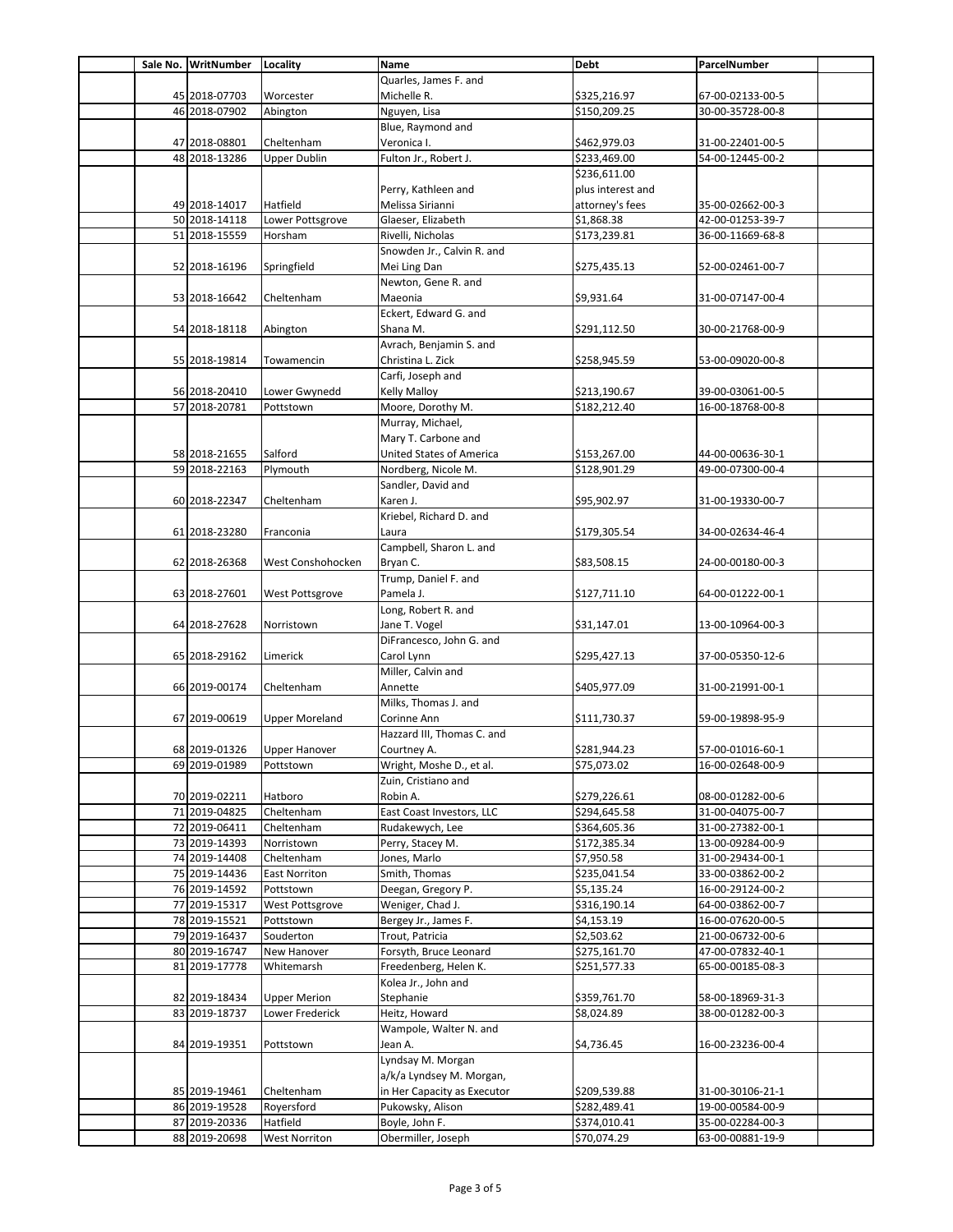|  | Sale No. WritNumber            | Locality                 | Name                                                    | <b>Debt</b>                  | ParcelNumber                         |
|--|--------------------------------|--------------------------|---------------------------------------------------------|------------------------------|--------------------------------------|
|  |                                |                          | Quarles, James F. and                                   |                              |                                      |
|  | 45 2018-07703                  | Worcester                | Michelle R.                                             | \$325,216.97                 | 67-00-02133-00-5                     |
|  | 46 2018-07902                  | Abington                 | Nguyen, Lisa                                            | \$150,209.25                 | 30-00-35728-00-8                     |
|  |                                |                          | Blue, Raymond and                                       |                              |                                      |
|  | 47 2018-08801                  | Cheltenham               | Veronica I.                                             | \$462,979.03                 | 31-00-22401-00-5                     |
|  | 48 2018-13286                  | <b>Upper Dublin</b>      | Fulton Jr., Robert J.                                   | \$233,469.00                 | 54-00-12445-00-2                     |
|  |                                |                          |                                                         | \$236,611.00                 |                                      |
|  |                                |                          | Perry, Kathleen and                                     | plus interest and            |                                      |
|  | 49 2018-14017                  | Hatfield                 | Melissa Sirianni                                        | attorney's fees              | 35-00-02662-00-3                     |
|  | 50 2018-14118                  | Lower Pottsgrove         | Glaeser, Elizabeth                                      | \$1,868.38                   | 42-00-01253-39-7                     |
|  | 51 2018-15559                  | Horsham                  | Rivelli, Nicholas                                       | \$173,239.81                 | 36-00-11669-68-8                     |
|  |                                |                          | Snowden Jr., Calvin R. and                              |                              |                                      |
|  | 52 2018-16196                  | Springfield              | Mei Ling Dan                                            | \$275,435.13                 | 52-00-02461-00-7                     |
|  |                                |                          | Newton, Gene R. and                                     |                              |                                      |
|  | 53 2018-16642                  | Cheltenham               | Maeonia                                                 | \$9,931.64                   | 31-00-07147-00-4                     |
|  |                                |                          | Eckert, Edward G. and                                   |                              |                                      |
|  | 54 2018-18118                  | Abington                 | Shana M.                                                | \$291,112.50                 | 30-00-21768-00-9                     |
|  |                                |                          | Avrach, Benjamin S. and                                 |                              |                                      |
|  | 55 2018-19814                  | Towamencin               | Christina L. Zick                                       | \$258,945.59                 | 53-00-09020-00-8                     |
|  |                                |                          | Carfi, Joseph and                                       |                              |                                      |
|  | 56 2018-20410                  | Lower Gwynedd            | <b>Kelly Malloy</b>                                     | \$213,190.67                 | 39-00-03061-00-5                     |
|  | 57 2018-20781                  | Pottstown                | Moore, Dorothy M.                                       | \$182,212.40                 | 16-00-18768-00-8                     |
|  |                                |                          | Murray, Michael,                                        |                              |                                      |
|  |                                |                          | Mary T. Carbone and                                     |                              |                                      |
|  | 58 2018-21655                  | Salford                  | United States of America                                | \$153,267.00                 | 44-00-00636-30-1                     |
|  | 59 2018-22163                  | Plymouth                 | Nordberg, Nicole M.<br>Sandler, David and               | \$128,901.29                 | 49-00-07300-00-4                     |
|  |                                |                          |                                                         |                              |                                      |
|  | 60 2018-22347                  | Cheltenham               | Karen J.<br>Kriebel, Richard D. and                     | \$95,902.97                  | 31-00-19330-00-7                     |
|  | 61 2018-23280                  |                          |                                                         |                              |                                      |
|  |                                | Franconia                | Laura<br>Campbell, Sharon L. and                        | \$179,305.54                 | 34-00-02634-46-4                     |
|  | 62 2018-26368                  | West Conshohocken        | Bryan C.                                                | \$83,508.15                  | 24-00-00180-00-3                     |
|  |                                |                          | Trump, Daniel F. and                                    |                              |                                      |
|  | 63 2018-27601                  | West Pottsgrove          | Pamela J.                                               | \$127,711.10                 | 64-00-01222-00-1                     |
|  |                                |                          | Long, Robert R. and                                     |                              |                                      |
|  | 64 2018-27628                  | Norristown               | Jane T. Vogel                                           | \$31,147.01                  | 13-00-10964-00-3                     |
|  |                                |                          | DiFrancesco, John G. and                                |                              |                                      |
|  | 65 2018-29162                  | Limerick                 | Carol Lynn                                              | \$295,427.13                 | 37-00-05350-12-6                     |
|  |                                |                          | Miller, Calvin and                                      |                              |                                      |
|  | 66 2019-00174                  | Cheltenham               | Annette                                                 | \$405,977.09                 | 31-00-21991-00-1                     |
|  |                                |                          | Milks, Thomas J. and                                    |                              |                                      |
|  | 67 2019-00619                  | <b>Upper Moreland</b>    | Corinne Ann                                             | \$111,730.37                 | 59-00-19898-95-9                     |
|  |                                |                          | Hazzard III, Thomas C. and                              |                              |                                      |
|  | 68 2019-01326                  | <b>Upper Hanover</b>     | Courtney A.                                             | \$281,944.23                 | 57-00-01016-60-1                     |
|  | 69 2019-01989                  | Pottstown                | Wright, Moshe D., et al.                                | \$75,073.02                  | 16-00-02648-00-9                     |
|  |                                |                          | Zuin, Cristiano and                                     |                              |                                      |
|  | 70 2019-02211                  | Hatboro                  | Robin A.                                                | \$279,226.61                 | 08-00-01282-00-6                     |
|  | 71 2019-04825                  | Cheltenham               | East Coast Investors, LLC                               | \$294,645.58                 | 31-00-04075-00-7                     |
|  | 72 2019-06411                  | Cheltenham               | Rudakewych, Lee                                         | \$364,605.36                 | 31-00-27382-00-1                     |
|  | 73 2019-14393                  | Norristown               | Perry, Stacey M.                                        | \$172,385.34                 | 13-00-09284-00-9                     |
|  | 74 2019-14408                  | Cheltenham               | Jones, Marlo                                            | \$7,950.58                   | 31-00-29434-00-1                     |
|  | 75 2019-14436                  | East Norriton            | Smith, Thomas                                           | \$235,041.54                 | 33-00-03862-00-2                     |
|  | 76 2019-14592                  | Pottstown                | Deegan, Gregory P.                                      | \$5,135.24                   | 16-00-29124-00-2                     |
|  | 77 2019-15317                  | West Pottsgrove          | Weniger, Chad J.                                        | \$316,190.14                 | 64-00-03862-00-7                     |
|  | 78 2019-15521                  | Pottstown                | Bergey Jr., James F.                                    | \$4,153.19                   | 16-00-07620-00-5                     |
|  | 79 2019-16437                  | Souderton                | Trout, Patricia                                         | \$2,503.62                   | 21-00-06732-00-6                     |
|  | 80 2019-16747                  | New Hanover              | Forsyth, Bruce Leonard                                  | \$275,161.70                 | 47-00-07832-40-1                     |
|  | 81 2019-17778                  | Whitemarsh               | Freedenberg, Helen K.                                   | \$251,577.33                 | 65-00-00185-08-3                     |
|  |                                |                          | Kolea Jr., John and                                     |                              |                                      |
|  | 82 2019-18434                  | <b>Upper Merion</b>      | Stephanie                                               | \$359,761.70                 | 58-00-18969-31-3                     |
|  | 83 2019-18737                  | Lower Frederick          | Heitz, Howard                                           | \$8,024.89                   | 38-00-01282-00-3                     |
|  |                                |                          | Wampole, Walter N. and                                  |                              |                                      |
|  | 84 2019-19351                  | Pottstown                | Jean A.                                                 | \$4,736.45                   | 16-00-23236-00-4                     |
|  |                                |                          | Lyndsay M. Morgan                                       |                              |                                      |
|  |                                |                          | a/k/a Lyndsey M. Morgan,<br>in Her Capacity as Executor |                              |                                      |
|  | 85 2019-19461<br>86 2019-19528 | Cheltenham<br>Royersford | Pukowsky, Alison                                        | \$209,539.88<br>\$282,489.41 | 31-00-30106-21-1<br>19-00-00584-00-9 |
|  | 87 2019-20336                  | Hatfield                 | Boyle, John F.                                          | \$374,010.41                 | 35-00-02284-00-3                     |
|  | 88 2019-20698                  | <b>West Norriton</b>     | Obermiller, Joseph                                      | \$70,074.29                  | 63-00-00881-19-9                     |
|  |                                |                          |                                                         |                              |                                      |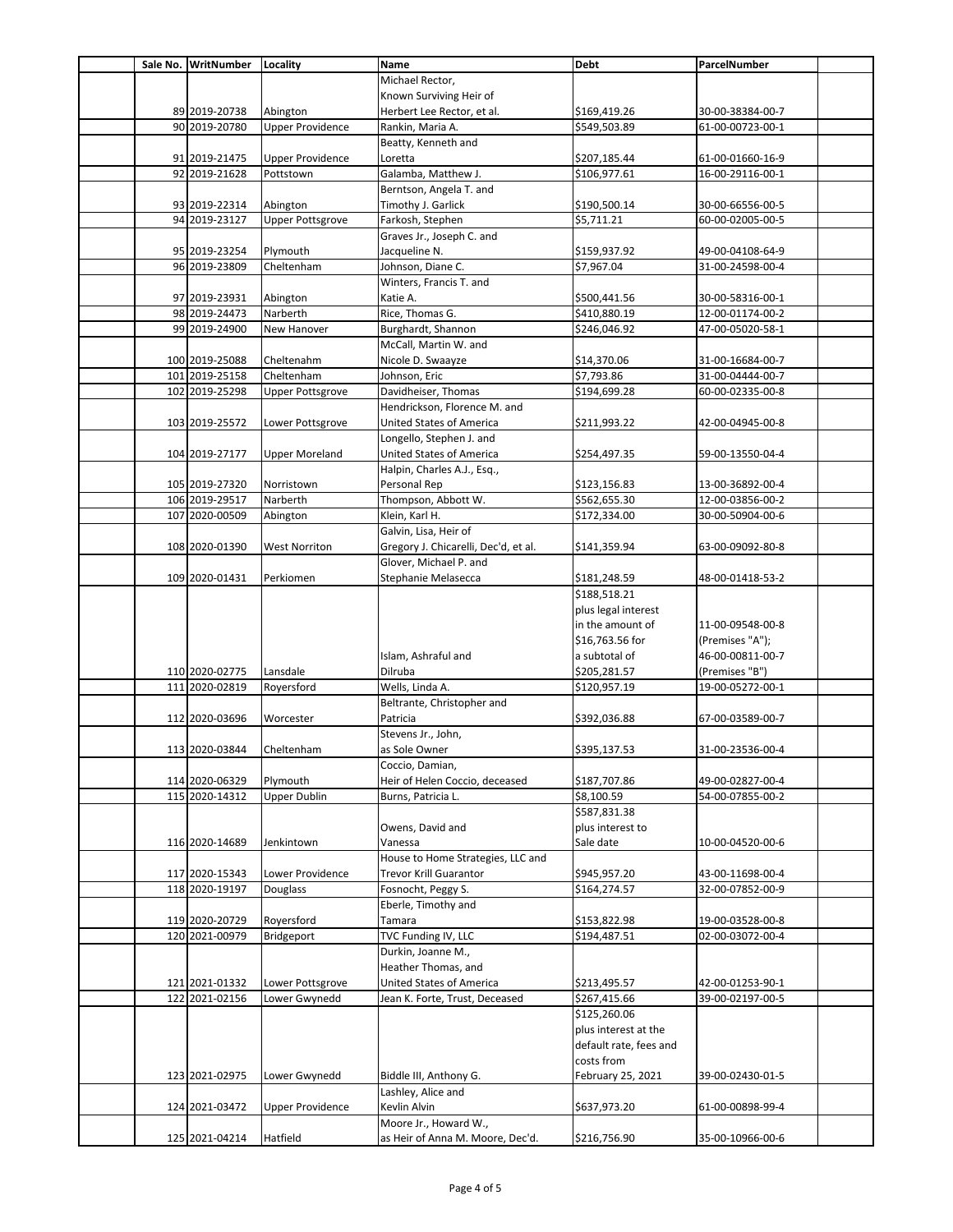|  | Sale No. WritNumber | Locality                | Name                                  | <b>Debt</b>            | ParcelNumber                         |  |
|--|---------------------|-------------------------|---------------------------------------|------------------------|--------------------------------------|--|
|  |                     |                         | Michael Rector,                       |                        |                                      |  |
|  |                     |                         | Known Surviving Heir of               |                        |                                      |  |
|  | 89 2019-20738       | Abington                | Herbert Lee Rector, et al.            | \$169,419.26           | 30-00-38384-00-7                     |  |
|  | 90 2019-20780       | <b>Upper Providence</b> | Rankin, Maria A.                      | \$549,503.89           | 61-00-00723-00-1                     |  |
|  |                     |                         | Beatty, Kenneth and                   |                        |                                      |  |
|  | 91 2019-21475       | <b>Upper Providence</b> | Loretta                               | \$207,185.44           | 61-00-01660-16-9                     |  |
|  | 92 2019-21628       | Pottstown               | Galamba, Matthew J.                   | \$106,977.61           | 16-00-29116-00-1                     |  |
|  |                     |                         | Berntson, Angela T. and               |                        |                                      |  |
|  | 93 2019-22314       | Abington                | Timothy J. Garlick                    | \$190,500.14           | 30-00-66556-00-5                     |  |
|  | 94 2019-23127       | <b>Upper Pottsgrove</b> | Farkosh, Stephen                      | \$5,711.21             | 60-00-02005-00-5                     |  |
|  |                     |                         | Graves Jr., Joseph C. and             |                        |                                      |  |
|  | 95 2019-23254       | Plymouth                | Jacqueline N.                         | \$159,937.92           | 49-00-04108-64-9                     |  |
|  | 96 2019-23809       | Cheltenham              | Johnson, Diane C.                     | \$7,967.04             | 31-00-24598-00-4                     |  |
|  |                     |                         | Winters, Francis T. and               |                        |                                      |  |
|  | 97 2019-23931       | Abington                | Katie A.                              | \$500,441.56           | 30-00-58316-00-1                     |  |
|  | 98 2019-24473       | Narberth                | Rice, Thomas G.                       | \$410,880.19           | 12-00-01174-00-2                     |  |
|  | 99 2019-24900       | New Hanover             | Burghardt, Shannon                    | \$246,046.92           | 47-00-05020-58-1                     |  |
|  |                     |                         | McCall, Martin W. and                 |                        |                                      |  |
|  | 100 2019-25088      | Cheltenahm              | Nicole D. Swaayze                     | \$14.370.06            | 31-00-16684-00-7                     |  |
|  | 101 2019-25158      | Cheltenham              | Johnson, Eric                         | \$7,793.86             | 31-00-04444-00-7                     |  |
|  | 102 2019-25298      | <b>Upper Pottsgrove</b> | Davidheiser, Thomas                   | \$194,699.28           | 60-00-02335-00-8                     |  |
|  |                     |                         | Hendrickson, Florence M. and          |                        |                                      |  |
|  | 103 2019-25572      | Lower Pottsgrove        | United States of America              | \$211,993.22           | 42-00-04945-00-8                     |  |
|  |                     |                         | Longello, Stephen J. and              |                        |                                      |  |
|  | 104 2019-27177      | <b>Upper Moreland</b>   | United States of America              | \$254,497.35           | 59-00-13550-04-4                     |  |
|  |                     |                         |                                       |                        |                                      |  |
|  | 105 2019-27320      | Norristown              | Halpin, Charles A.J., Esq.,           |                        |                                      |  |
|  |                     | Narberth                | Personal Rep                          | \$123,156.83           | 13-00-36892-00-4<br>12-00-03856-00-2 |  |
|  | 106 2019-29517      |                         | Thompson, Abbott W.<br>Klein, Karl H. | \$562,655.30           |                                      |  |
|  | 107 2020-00509      | Abington                |                                       | \$172,334.00           | 30-00-50904-00-6                     |  |
|  |                     |                         | Galvin, Lisa, Heir of                 |                        |                                      |  |
|  | 108 2020-01390      | <b>West Norriton</b>    | Gregory J. Chicarelli, Dec'd, et al.  | \$141,359.94           | 63-00-09092-80-8                     |  |
|  |                     |                         | Glover, Michael P. and                |                        |                                      |  |
|  | 109 2020-01431      | Perkiomen               | Stephanie Melasecca                   | \$181,248.59           | 48-00-01418-53-2                     |  |
|  |                     |                         |                                       | \$188,518.21           |                                      |  |
|  |                     |                         |                                       | plus legal interest    |                                      |  |
|  |                     |                         |                                       | in the amount of       | 11-00-09548-00-8                     |  |
|  |                     |                         |                                       | \$16,763.56 for        | (Premises "A");                      |  |
|  |                     |                         | Islam, Ashraful and                   | a subtotal of          | 46-00-00811-00-7                     |  |
|  | 110 2020-02775      | Lansdale                | Dilruba                               | \$205,281.57           | (Premises "B")                       |  |
|  | 111 2020-02819      | Royersford              | Wells, Linda A.                       | \$120,957.19           | 19-00-05272-00-1                     |  |
|  |                     |                         | Beltrante, Christopher and            |                        |                                      |  |
|  | 112 2020-03696      | Worcester               | Patricia                              | \$392,036.88           | 67-00-03589-00-7                     |  |
|  |                     |                         | Stevens Jr., John,                    |                        |                                      |  |
|  | 113 2020-03844      | Cheltenham              | as Sole Owner                         | \$395,137.53           | 31-00-23536-00-4                     |  |
|  |                     |                         | Coccio, Damian,                       |                        |                                      |  |
|  | 114 2020-06329      | Plymouth                | Heir of Helen Coccio, deceased        | \$187,707.86           | 49-00-02827-00-4                     |  |
|  | 115 2020-14312      | <b>Upper Dublin</b>     | Burns, Patricia L.                    | \$8,100.59             | 54-00-07855-00-2                     |  |
|  |                     |                         |                                       | \$587,831.38           |                                      |  |
|  |                     |                         | Owens, David and                      | plus interest to       |                                      |  |
|  | 116 2020-14689      | Jenkintown              | Vanessa                               | Sale date              | 10-00-04520-00-6                     |  |
|  |                     |                         | House to Home Strategies, LLC and     |                        |                                      |  |
|  | 117 2020-15343      | Lower Providence        | <b>Trevor Krill Guarantor</b>         | \$945,957.20           | 43-00-11698-00-4                     |  |
|  | 118 2020-19197      | Douglass                | Fosnocht, Peggy S.                    | \$164,274.57           | 32-00-07852-00-9                     |  |
|  |                     |                         | Eberle, Timothy and                   |                        |                                      |  |
|  | 119 2020-20729      | Royersford              | Tamara                                | \$153,822.98           | 19-00-03528-00-8                     |  |
|  | 120 2021-00979      | Bridgeport              | TVC Funding IV, LLC                   | \$194,487.51           | 02-00-03072-00-4                     |  |
|  |                     |                         | Durkin, Joanne M.,                    |                        |                                      |  |
|  |                     |                         | Heather Thomas, and                   |                        |                                      |  |
|  | 121 2021-01332      | Lower Pottsgrove        | United States of America              | \$213,495.57           | 42-00-01253-90-1                     |  |
|  | 122 2021-02156      | Lower Gwynedd           | Jean K. Forte, Trust, Deceased        | \$267,415.66           | 39-00-02197-00-5                     |  |
|  |                     |                         |                                       | \$125,260.06           |                                      |  |
|  |                     |                         |                                       | plus interest at the   |                                      |  |
|  |                     |                         |                                       | default rate, fees and |                                      |  |
|  |                     |                         |                                       | costs from             |                                      |  |
|  | 123 2021-02975      | Lower Gwynedd           | Biddle III, Anthony G.                | February 25, 2021      | 39-00-02430-01-5                     |  |
|  |                     |                         | Lashley, Alice and                    |                        |                                      |  |
|  | 124 2021-03472      | <b>Upper Providence</b> | Kevlin Alvin                          | \$637,973.20           | 61-00-00898-99-4                     |  |
|  |                     |                         | Moore Jr., Howard W.,                 |                        |                                      |  |
|  | 125 2021-04214      | Hatfield                | as Heir of Anna M. Moore, Dec'd.      | \$216,756.90           | 35-00-10966-00-6                     |  |